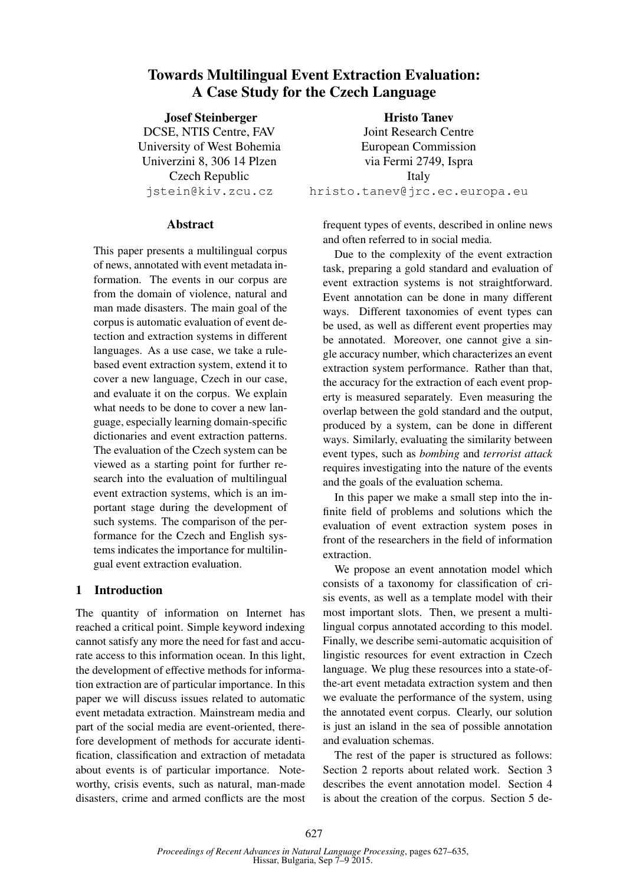# Towards Multilingual Event Extraction Evaluation: A Case Study for the Czech Language

Josef Steinberger DCSE, NTIS Centre, FAV University of West Bohemia Univerzini 8, 306 14 Plzen Czech Republic jstein@kiv.zcu.cz

### Abstract

This paper presents a multilingual corpus of news, annotated with event metadata information. The events in our corpus are from the domain of violence, natural and man made disasters. The main goal of the corpus is automatic evaluation of event detection and extraction systems in different languages. As a use case, we take a rulebased event extraction system, extend it to cover a new language, Czech in our case, and evaluate it on the corpus. We explain what needs to be done to cover a new language, especially learning domain-specific dictionaries and event extraction patterns. The evaluation of the Czech system can be viewed as a starting point for further research into the evaluation of multilingual event extraction systems, which is an important stage during the development of such systems. The comparison of the performance for the Czech and English systems indicates the importance for multilingual event extraction evaluation.

### 1 Introduction

The quantity of information on Internet has reached a critical point. Simple keyword indexing cannot satisfy any more the need for fast and accurate access to this information ocean. In this light, the development of effective methods for information extraction are of particular importance. In this paper we will discuss issues related to automatic event metadata extraction. Mainstream media and part of the social media are event-oriented, therefore development of methods for accurate identification, classification and extraction of metadata about events is of particular importance. Noteworthy, crisis events, such as natural, man-made disasters, crime and armed conflicts are the most

Hristo Tanev Joint Research Centre European Commission via Fermi 2749, Ispra Italy hristo.tanev@jrc.ec.europa.eu

frequent types of events, described in online news and often referred to in social media.

Due to the complexity of the event extraction task, preparing a gold standard and evaluation of event extraction systems is not straightforward. Event annotation can be done in many different ways. Different taxonomies of event types can be used, as well as different event properties may be annotated. Moreover, one cannot give a single accuracy number, which characterizes an event extraction system performance. Rather than that, the accuracy for the extraction of each event property is measured separately. Even measuring the overlap between the gold standard and the output, produced by a system, can be done in different ways. Similarly, evaluating the similarity between event types, such as *bombing* and *terrorist attack* requires investigating into the nature of the events and the goals of the evaluation schema.

In this paper we make a small step into the infinite field of problems and solutions which the evaluation of event extraction system poses in front of the researchers in the field of information extraction.

We propose an event annotation model which consists of a taxonomy for classification of crisis events, as well as a template model with their most important slots. Then, we present a multilingual corpus annotated according to this model. Finally, we describe semi-automatic acquisition of lingistic resources for event extraction in Czech language. We plug these resources into a state-ofthe-art event metadata extraction system and then we evaluate the performance of the system, using the annotated event corpus. Clearly, our solution is just an island in the sea of possible annotation and evaluation schemas.

The rest of the paper is structured as follows: Section 2 reports about related work. Section 3 describes the event annotation model. Section 4 is about the creation of the corpus. Section 5 de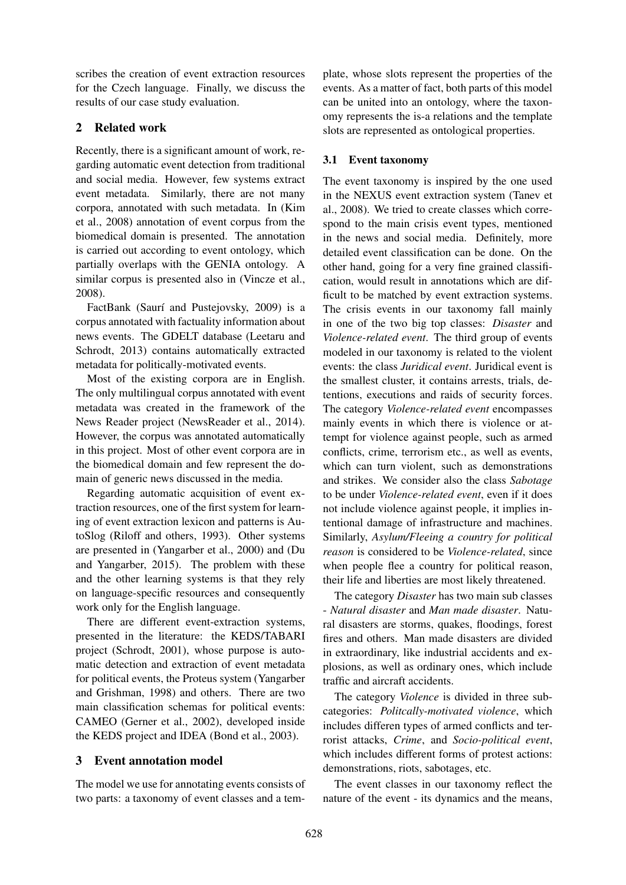scribes the creation of event extraction resources for the Czech language. Finally, we discuss the results of our case study evaluation.

## 2 Related work

Recently, there is a significant amount of work, regarding automatic event detection from traditional and social media. However, few systems extract event metadata. Similarly, there are not many corpora, annotated with such metadata. In (Kim et al., 2008) annotation of event corpus from the biomedical domain is presented. The annotation is carried out according to event ontology, which partially overlaps with the GENIA ontology. A similar corpus is presented also in (Vincze et al., 2008).

FactBank (Saurí and Pustejovsky, 2009) is a corpus annotated with factuality information about news events. The GDELT database (Leetaru and Schrodt, 2013) contains automatically extracted metadata for politically-motivated events.

Most of the existing corpora are in English. The only multilingual corpus annotated with event metadata was created in the framework of the News Reader project (NewsReader et al., 2014). However, the corpus was annotated automatically in this project. Most of other event corpora are in the biomedical domain and few represent the domain of generic news discussed in the media.

Regarding automatic acquisition of event extraction resources, one of the first system for learning of event extraction lexicon and patterns is AutoSlog (Riloff and others, 1993). Other systems are presented in (Yangarber et al., 2000) and (Du and Yangarber, 2015). The problem with these and the other learning systems is that they rely on language-specific resources and consequently work only for the English language.

There are different event-extraction systems, presented in the literature: the KEDS/TABARI project (Schrodt, 2001), whose purpose is automatic detection and extraction of event metadata for political events, the Proteus system (Yangarber and Grishman, 1998) and others. There are two main classification schemas for political events: CAMEO (Gerner et al., 2002), developed inside the KEDS project and IDEA (Bond et al., 2003).

### 3 Event annotation model

The model we use for annotating events consists of two parts: a taxonomy of event classes and a template, whose slots represent the properties of the events. As a matter of fact, both parts of this model can be united into an ontology, where the taxonomy represents the is-a relations and the template slots are represented as ontological properties.

## 3.1 Event taxonomy

The event taxonomy is inspired by the one used in the NEXUS event extraction system (Tanev et al., 2008). We tried to create classes which correspond to the main crisis event types, mentioned in the news and social media. Definitely, more detailed event classification can be done. On the other hand, going for a very fine grained classification, would result in annotations which are difficult to be matched by event extraction systems. The crisis events in our taxonomy fall mainly in one of the two big top classes: *Disaster* and *Violence-related event*. The third group of events modeled in our taxonomy is related to the violent events: the class *Juridical event*. Juridical event is the smallest cluster, it contains arrests, trials, detentions, executions and raids of security forces. The category *Violence-related event* encompasses mainly events in which there is violence or attempt for violence against people, such as armed conflicts, crime, terrorism etc., as well as events, which can turn violent, such as demonstrations and strikes. We consider also the class *Sabotage* to be under *Violence-related event*, even if it does not include violence against people, it implies intentional damage of infrastructure and machines. Similarly, *Asylum/Fleeing a country for political reason* is considered to be *Violence-related*, since when people flee a country for political reason, their life and liberties are most likely threatened.

The category *Disaster* has two main sub classes - *Natural disaster* and *Man made disaster*. Natural disasters are storms, quakes, floodings, forest fires and others. Man made disasters are divided in extraordinary, like industrial accidents and explosions, as well as ordinary ones, which include traffic and aircraft accidents.

The category *Violence* is divided in three subcategories: *Politcally-motivated violence*, which includes differen types of armed conflicts and terrorist attacks, *Crime*, and *Socio-political event*, which includes different forms of protest actions: demonstrations, riots, sabotages, etc.

The event classes in our taxonomy reflect the nature of the event - its dynamics and the means,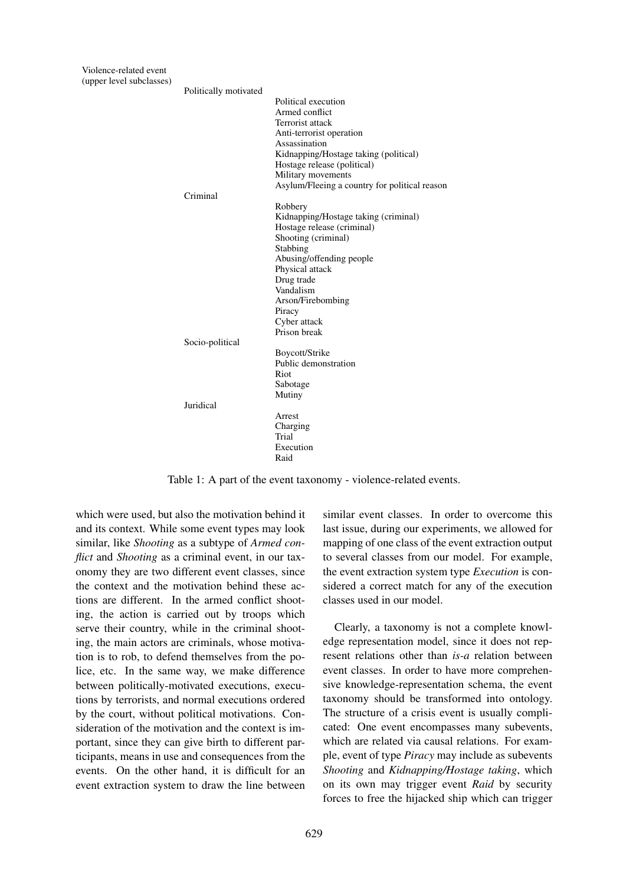| Politically motivated |                                               |
|-----------------------|-----------------------------------------------|
|                       | Political execution                           |
|                       | Armed conflict                                |
|                       | Terrorist attack                              |
|                       | Anti-terrorist operation                      |
|                       | Assassination                                 |
|                       | Kidnapping/Hostage taking (political)         |
|                       | Hostage release (political)                   |
|                       | Military movements                            |
|                       | Asylum/Fleeing a country for political reason |
| Criminal              |                                               |
|                       | Robbery                                       |
|                       | Kidnapping/Hostage taking (criminal)          |
|                       | Hostage release (criminal)                    |
|                       | Shooting (criminal)                           |
|                       | Stabbing                                      |
|                       | Abusing/offending people                      |
|                       | Physical attack                               |
|                       | Drug trade                                    |
|                       | Vandalism                                     |
|                       | Arson/Firebombing                             |
|                       | Piracy                                        |
|                       | Cyber attack                                  |
|                       | Prison break                                  |
| Socio-political       |                                               |
|                       | Boycott/Strike                                |
|                       | Public demonstration                          |
|                       | Riot                                          |
|                       |                                               |
|                       | Sabotage<br>Mutiny                            |
| Juridical             |                                               |
|                       |                                               |
|                       | Arrest                                        |
|                       | Charging                                      |
|                       | Trial                                         |
|                       | Execution                                     |
|                       | Raid                                          |

Table 1: A part of the event taxonomy - violence-related events.

which were used, but also the motivation behind it and its context. While some event types may look similar, like *Shooting* as a subtype of *Armed conflict* and *Shooting* as a criminal event, in our taxonomy they are two different event classes, since the context and the motivation behind these actions are different. In the armed conflict shooting, the action is carried out by troops which serve their country, while in the criminal shooting, the main actors are criminals, whose motivation is to rob, to defend themselves from the police, etc. In the same way, we make difference between politically-motivated executions, executions by terrorists, and normal executions ordered by the court, without political motivations. Consideration of the motivation and the context is important, since they can give birth to different participants, means in use and consequences from the events. On the other hand, it is difficult for an event extraction system to draw the line between similar event classes. In order to overcome this last issue, during our experiments, we allowed for mapping of one class of the event extraction output to several classes from our model. For example, the event extraction system type *Execution* is considered a correct match for any of the execution classes used in our model.

Clearly, a taxonomy is not a complete knowledge representation model, since it does not represent relations other than *is-a* relation between event classes. In order to have more comprehensive knowledge-representation schema, the event taxonomy should be transformed into ontology. The structure of a crisis event is usually complicated: One event encompasses many subevents, which are related via causal relations. For example, event of type *Piracy* may include as subevents *Shooting* and *Kidnapping/Hostage taking*, which on its own may trigger event *Raid* by security forces to free the hijacked ship which can trigger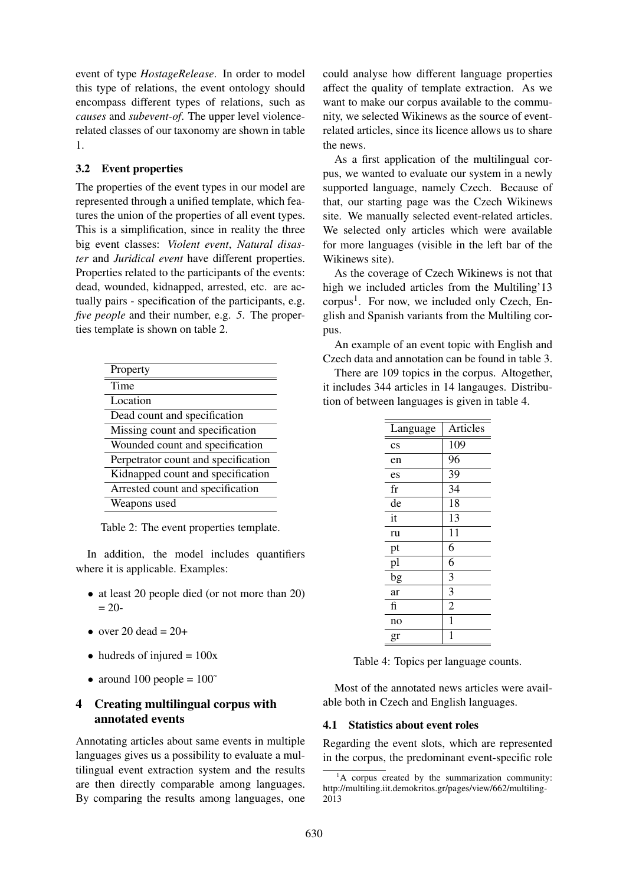event of type *HostageRelease*. In order to model this type of relations, the event ontology should encompass different types of relations, such as *causes* and *subevent-of*. The upper level violencerelated classes of our taxonomy are shown in table 1.

### 3.2 Event properties

The properties of the event types in our model are represented through a unified template, which features the union of the properties of all event types. This is a simplification, since in reality the three big event classes: *Violent event*, *Natural disaster* and *Juridical event* have different properties. Properties related to the participants of the events: dead, wounded, kidnapped, arrested, etc. are actually pairs - specification of the participants, e.g. *five people* and their number, e.g. *5*. The properties template is shown on table 2.

| Property                            |
|-------------------------------------|
| Time                                |
| Location                            |
| Dead count and specification        |
| Missing count and specification     |
| Wounded count and specification     |
| Perpetrator count and specification |
| Kidnapped count and specification   |
| Arrested count and specification    |
| Weapons used                        |
|                                     |

Table 2: The event properties template.

In addition, the model includes quantifiers where it is applicable. Examples:

- at least 20 people died (or not more than 20)  $= 20 -$
- over 20 dead  $= 20+$
- hudreds of injured  $= 100x$
- around 100 people  $= 100^{\circ}$

## 4 Creating multilingual corpus with annotated events

Annotating articles about same events in multiple languages gives us a possibility to evaluate a multilingual event extraction system and the results are then directly comparable among languages. By comparing the results among languages, one

could analyse how different language properties affect the quality of template extraction. As we want to make our corpus available to the community, we selected Wikinews as the source of eventrelated articles, since its licence allows us to share the news.

As a first application of the multilingual corpus, we wanted to evaluate our system in a newly supported language, namely Czech. Because of that, our starting page was the Czech Wikinews site. We manually selected event-related articles. We selected only articles which were available for more languages (visible in the left bar of the Wikinews site).

As the coverage of Czech Wikinews is not that high we included articles from the Multiling'13 corpus<sup>1</sup>. For now, we included only Czech, English and Spanish variants from the Multiling corpus.

An example of an event topic with English and Czech data and annotation can be found in table 3.

There are 109 topics in the corpus. Altogether, it includes 344 articles in 14 langauges. Distribution of between languages is given in table 4.

| Language     | Articles       |
|--------------|----------------|
| $\rm cs$     | 109            |
| en           | 96             |
| es           | 39             |
| $_{\rm fr}$  | 34             |
| de           | 18             |
| it           | 13             |
| ru           | 11             |
| pt           | 6              |
| pl           | 6              |
| bg           | 3              |
| ar           | $\overline{3}$ |
| $\mathbf{f}$ | $\overline{2}$ |
| no           | $\mathbf 1$    |
| gr           | 1              |
|              |                |

Table 4: Topics per language counts.

Most of the annotated news articles were available both in Czech and English languages.

#### 4.1 Statistics about event roles

Regarding the event slots, which are represented in the corpus, the predominant event-specific role

 ${}^{1}$ A corpus created by the summarization community: http://multiling.iit.demokritos.gr/pages/view/662/multiling-2013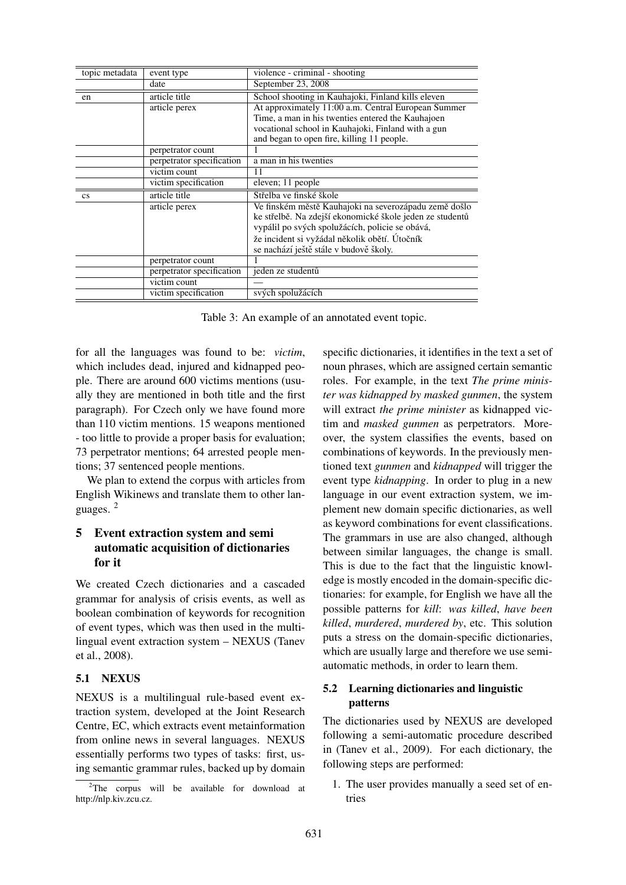| topic metadata         | event type                | violence - criminal - shooting                           |  |
|------------------------|---------------------------|----------------------------------------------------------|--|
|                        | date                      | September 23, 2008                                       |  |
| en                     | article title             | School shooting in Kauhajoki, Finland kills eleven       |  |
|                        | article perex             | At approximately 11:00 a.m. Central European Summer      |  |
|                        |                           | Time, a man in his twenties entered the Kauhajoen        |  |
|                        |                           | vocational school in Kauhajoki, Finland with a gun       |  |
|                        |                           | and began to open fire, killing 11 people.               |  |
|                        | perpetrator count         |                                                          |  |
|                        | perpetrator specification | a man in his twenties                                    |  |
|                        | victim count              | 11                                                       |  |
|                        | victim specification      | eleven; 11 people                                        |  |
| $\mathbf{c}\mathbf{s}$ | article title             | Střelba ve finské škole                                  |  |
|                        | article perex             | Ve finském městě Kauhajoki na severozápadu země došlo    |  |
|                        |                           | ke střelbě. Na zdejší ekonomické škole jeden ze studentů |  |
|                        |                           | vypálil po svých spolužácích, policie se obává,          |  |
|                        |                           | že incident si vyžádal několik obětí. Útočník            |  |
|                        |                           | se nachází ještě stále v budově školy.                   |  |
|                        | perpetrator count         |                                                          |  |
|                        | perpetrator specification | jeden ze studentů                                        |  |
|                        | victim count              |                                                          |  |
|                        | victim specification      | svých spolužácích                                        |  |

Table 3: An example of an annotated event topic.

for all the languages was found to be: *victim*, which includes dead, injured and kidnapped people. There are around 600 victims mentions (usually they are mentioned in both title and the first paragraph). For Czech only we have found more than 110 victim mentions. 15 weapons mentioned - too little to provide a proper basis for evaluation; 73 perpetrator mentions; 64 arrested people mentions; 37 sentenced people mentions.

We plan to extend the corpus with articles from English Wikinews and translate them to other languages. <sup>2</sup>

## 5 Event extraction system and semi automatic acquisition of dictionaries for it

We created Czech dictionaries and a cascaded grammar for analysis of crisis events, as well as boolean combination of keywords for recognition of event types, which was then used in the multilingual event extraction system – NEXUS (Tanev et al., 2008).

### 5.1 NEXUS

NEXUS is a multilingual rule-based event extraction system, developed at the Joint Research Centre, EC, which extracts event metainformation from online news in several languages. NEXUS essentially performs two types of tasks: first, using semantic grammar rules, backed up by domain specific dictionaries, it identifies in the text a set of noun phrases, which are assigned certain semantic roles. For example, in the text *The prime minister was kidnapped by masked gunmen*, the system will extract *the prime minister* as kidnapped victim and *masked gunmen* as perpetrators. Moreover, the system classifies the events, based on combinations of keywords. In the previously mentioned text *gunmen* and *kidnapped* will trigger the event type *kidnapping*. In order to plug in a new language in our event extraction system, we implement new domain specific dictionaries, as well as keyword combinations for event classifications. The grammars in use are also changed, although between similar languages, the change is small. This is due to the fact that the linguistic knowledge is mostly encoded in the domain-specific dictionaries: for example, for English we have all the possible patterns for *kill*: *was killed*, *have been killed*, *murdered*, *murdered by*, etc. This solution puts a stress on the domain-specific dictionaries, which are usually large and therefore we use semiautomatic methods, in order to learn them.

## 5.2 Learning dictionaries and linguistic patterns

The dictionaries used by NEXUS are developed following a semi-automatic procedure described in (Tanev et al., 2009). For each dictionary, the following steps are performed:

1. The user provides manually a seed set of entries

<sup>&</sup>lt;sup>2</sup>The corpus will be available for download at http://nlp.kiv.zcu.cz.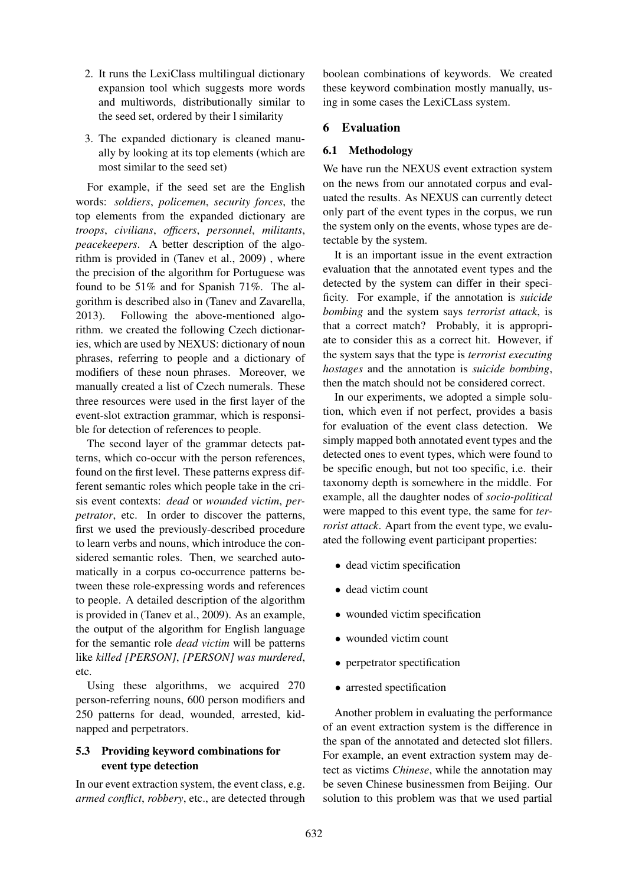- 2. It runs the LexiClass multilingual dictionary expansion tool which suggests more words and multiwords, distributionally similar to the seed set, ordered by their l similarity
- 3. The expanded dictionary is cleaned manually by looking at its top elements (which are most similar to the seed set)

For example, if the seed set are the English words: *soldiers*, *policemen*, *security forces*, the top elements from the expanded dictionary are *troops*, *civilians*, *officers*, *personnel*, *militants*, *peacekeepers*. A better description of the algorithm is provided in (Tanev et al., 2009) , where the precision of the algorithm for Portuguese was found to be 51% and for Spanish 71%. The algorithm is described also in (Tanev and Zavarella, 2013). Following the above-mentioned algorithm. we created the following Czech dictionaries, which are used by NEXUS: dictionary of noun phrases, referring to people and a dictionary of modifiers of these noun phrases. Moreover, we manually created a list of Czech numerals. These three resources were used in the first layer of the event-slot extraction grammar, which is responsible for detection of references to people.

The second layer of the grammar detects patterns, which co-occur with the person references, found on the first level. These patterns express different semantic roles which people take in the crisis event contexts: *dead* or *wounded victim*, *perpetrator*, etc. In order to discover the patterns, first we used the previously-described procedure to learn verbs and nouns, which introduce the considered semantic roles. Then, we searched automatically in a corpus co-occurrence patterns between these role-expressing words and references to people. A detailed description of the algorithm is provided in (Tanev et al., 2009). As an example, the output of the algorithm for English language for the semantic role *dead victim* will be patterns like *killed [PERSON]*, *[PERSON] was murdered*, etc.

Using these algorithms, we acquired 270 person-referring nouns, 600 person modifiers and 250 patterns for dead, wounded, arrested, kidnapped and perpetrators.

## 5.3 Providing keyword combinations for event type detection

In our event extraction system, the event class, e.g. *armed conflict*, *robbery*, etc., are detected through boolean combinations of keywords. We created these keyword combination mostly manually, using in some cases the LexiCLass system.

### 6 Evaluation

### 6.1 Methodology

We have run the NEXUS event extraction system on the news from our annotated corpus and evaluated the results. As NEXUS can currently detect only part of the event types in the corpus, we run the system only on the events, whose types are detectable by the system.

It is an important issue in the event extraction evaluation that the annotated event types and the detected by the system can differ in their specificity. For example, if the annotation is *suicide bombing* and the system says *terrorist attack*, is that a correct match? Probably, it is appropriate to consider this as a correct hit. However, if the system says that the type is *terrorist executing hostages* and the annotation is *suicide bombing*, then the match should not be considered correct.

In our experiments, we adopted a simple solution, which even if not perfect, provides a basis for evaluation of the event class detection. We simply mapped both annotated event types and the detected ones to event types, which were found to be specific enough, but not too specific, i.e. their taxonomy depth is somewhere in the middle. For example, all the daughter nodes of *socio-political* were mapped to this event type, the same for *terrorist attack*. Apart from the event type, we evaluated the following event participant properties:

- dead victim specification
- dead victim count
- wounded victim specification
- wounded victim count
- perpetrator spectification
- arrested spectification

Another problem in evaluating the performance of an event extraction system is the difference in the span of the annotated and detected slot fillers. For example, an event extraction system may detect as victims *Chinese*, while the annotation may be seven Chinese businessmen from Beijing. Our solution to this problem was that we used partial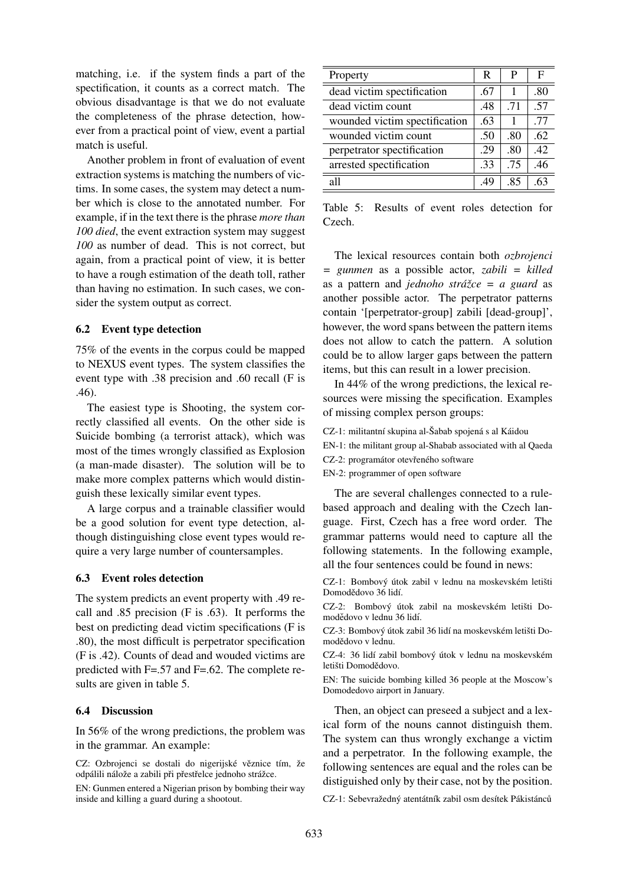matching, i.e. if the system finds a part of the spectification, it counts as a correct match. The obvious disadvantage is that we do not evaluate the completeness of the phrase detection, however from a practical point of view, event a partial match is useful.

Another problem in front of evaluation of event extraction systems is matching the numbers of victims. In some cases, the system may detect a number which is close to the annotated number. For example, if in the text there is the phrase *more than 100 died*, the event extraction system may suggest *100* as number of dead. This is not correct, but again, from a practical point of view, it is better to have a rough estimation of the death toll, rather than having no estimation. In such cases, we consider the system output as correct.

#### 6.2 Event type detection

75% of the events in the corpus could be mapped to NEXUS event types. The system classifies the event type with .38 precision and .60 recall (F is .46).

The easiest type is Shooting, the system correctly classified all events. On the other side is Suicide bombing (a terrorist attack), which was most of the times wrongly classified as Explosion (a man-made disaster). The solution will be to make more complex patterns which would distinguish these lexically similar event types.

A large corpus and a trainable classifier would be a good solution for event type detection, although distinguishing close event types would require a very large number of countersamples.

#### 6.3 Event roles detection

The system predicts an event property with .49 recall and .85 precision (F is .63). It performs the best on predicting dead victim specifications (F is .80), the most difficult is perpetrator specification (F is .42). Counts of dead and wouded victims are predicted with F=.57 and F=.62. The complete results are given in table 5.

#### 6.4 Discussion

In 56% of the wrong predictions, the problem was in the grammar. An example:

CZ: Ozbrojenci se dostali do nigerijské věznice tím, že odpálili nálože a zabili při přestřelce jednoho strážce.

EN: Gunmen entered a Nigerian prison by bombing their way inside and killing a guard during a shootout.

| Property                      |     | P   | F   |
|-------------------------------|-----|-----|-----|
| dead victim spectification    |     |     | .80 |
| dead victim count             |     | .71 | .57 |
| wounded victim spectification | .63 | 1   | .77 |
| wounded victim count          | .50 | .80 | .62 |
| perpetrator spectification    | .29 | .80 | .42 |
| arrested spectification       | .33 | .75 | .46 |
| all                           | .49 | .85 | 63  |

Table 5: Results of event roles detection for Czech.

The lexical resources contain both *ozbrojenci = gunmen* as a possible actor, *zabili = killed* as a pattern and *jednoho strážce = a guard* as another possible actor. The perpetrator patterns contain '[perpetrator-group] zabili [dead-group]', however, the word spans between the pattern items does not allow to catch the pattern. A solution could be to allow larger gaps between the pattern items, but this can result in a lower precision.

In 44% of the wrong predictions, the lexical resources were missing the specification. Examples of missing complex person groups:

- CZ-1: militantní skupina al-Šabab spojená s al Káidou
- EN-1: the militant group al-Shabab associated with al Qaeda
- CZ-2: programátor otevřeného software
- EN-2: programmer of open software

The are several challenges connected to a rulebased approach and dealing with the Czech language. First, Czech has a free word order. The grammar patterns would need to capture all the following statements. In the following example, all the four sentences could be found in news:

CZ-1: Bombový útok zabil v lednu na moskevském letišti Domodědovo 36 lidí.

CZ-2: Bombový útok zabil na moskevském letišti Domodědovo v lednu 36 lidí.

CZ-3: Bombový útok zabil 36 lidí na moskevském letišti Domodědovo v lednu.

CZ-4: 36 lidí zabil bombový útok v lednu na moskevském letišti Domodědovo.

EN: The suicide bombing killed 36 people at the Moscow's Domodedovo airport in January.

Then, an object can preseed a subject and a lexical form of the nouns cannot distinguish them. The system can thus wrongly exchange a victim and a perpetrator. In the following example, the following sentences are equal and the roles can be distiguished only by their case, not by the position.

CZ-1: Sebevražedný atentátník zabil osm desítek Pákistánců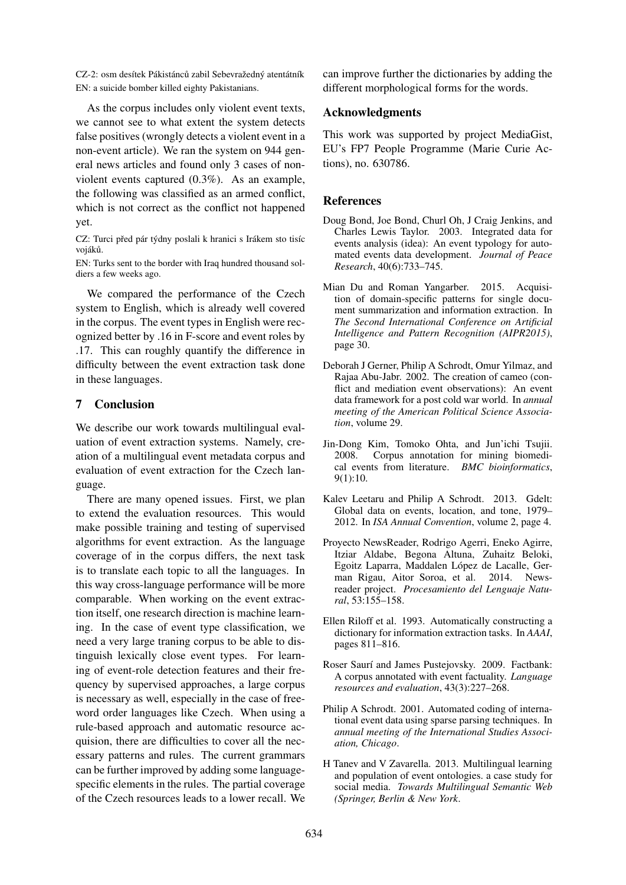CZ-2: osm desítek Pákistánců zabil Sebevražedný atentátník EN: a suicide bomber killed eighty Pakistanians.

As the corpus includes only violent event texts, we cannot see to what extent the system detects false positives (wrongly detects a violent event in a non-event article). We ran the system on 944 general news articles and found only 3 cases of nonviolent events captured (0.3%). As an example, the following was classified as an armed conflict, which is not correct as the conflict not happened yet.

CZ: Turci před pár týdny poslali k hranici s Irákem sto tisíc vojáků.

EN: Turks sent to the border with Iraq hundred thousand soldiers a few weeks ago.

We compared the performance of the Czech system to English, which is already well covered in the corpus. The event types in English were recognized better by .16 in F-score and event roles by .17. This can roughly quantify the difference in difficulty between the event extraction task done in these languages.

## 7 Conclusion

We describe our work towards multilingual evaluation of event extraction systems. Namely, creation of a multilingual event metadata corpus and evaluation of event extraction for the Czech language.

There are many opened issues. First, we plan to extend the evaluation resources. This would make possible training and testing of supervised algorithms for event extraction. As the language coverage of in the corpus differs, the next task is to translate each topic to all the languages. In this way cross-language performance will be more comparable. When working on the event extraction itself, one research direction is machine learning. In the case of event type classification, we need a very large traning corpus to be able to distinguish lexically close event types. For learning of event-role detection features and their frequency by supervised approaches, a large corpus is necessary as well, especially in the case of freeword order languages like Czech. When using a rule-based approach and automatic resource acquision, there are difficulties to cover all the necessary patterns and rules. The current grammars can be further improved by adding some languagespecific elements in the rules. The partial coverage of the Czech resources leads to a lower recall. We can improve further the dictionaries by adding the different morphological forms for the words.

## Acknowledgments

This work was supported by project MediaGist, EU's FP7 People Programme (Marie Curie Actions), no. 630786.

## References

- Doug Bond, Joe Bond, Churl Oh, J Craig Jenkins, and Charles Lewis Taylor. 2003. Integrated data for events analysis (idea): An event typology for automated events data development. *Journal of Peace Research*, 40(6):733–745.
- Mian Du and Roman Yangarber. 2015. Acquisition of domain-specific patterns for single document summarization and information extraction. In *The Second International Conference on Artificial Intelligence and Pattern Recognition (AIPR2015)*, page 30.
- Deborah J Gerner, Philip A Schrodt, Omur Yilmaz, and Rajaa Abu-Jabr. 2002. The creation of cameo (conflict and mediation event observations): An event data framework for a post cold war world. In *annual meeting of the American Political Science Association*, volume 29.
- Jin-Dong Kim, Tomoko Ohta, and Jun'ichi Tsujii. 2008. Corpus annotation for mining biomedical events from literature. *BMC bioinformatics*, 9(1):10.
- Kalev Leetaru and Philip A Schrodt. 2013. Gdelt: Global data on events, location, and tone, 1979– 2012. In *ISA Annual Convention*, volume 2, page 4.
- Proyecto NewsReader, Rodrigo Agerri, Eneko Agirre, Itziar Aldabe, Begona Altuna, Zuhaitz Beloki, Egoitz Laparra, Maddalen López de Lacalle, German Rigau, Aitor Soroa, et al. 2014. Newsreader project. *Procesamiento del Lenguaje Natural*, 53:155–158.
- Ellen Riloff et al. 1993. Automatically constructing a dictionary for information extraction tasks. In *AAAI*, pages 811–816.
- Roser Saurí and James Pustejovsky. 2009. Factbank: A corpus annotated with event factuality. *Language resources and evaluation*, 43(3):227–268.
- Philip A Schrodt. 2001. Automated coding of international event data using sparse parsing techniques. In *annual meeting of the International Studies Association, Chicago*.
- H Tanev and V Zavarella. 2013. Multilingual learning and population of event ontologies. a case study for social media. *Towards Multilingual Semantic Web (Springer, Berlin & New York*.